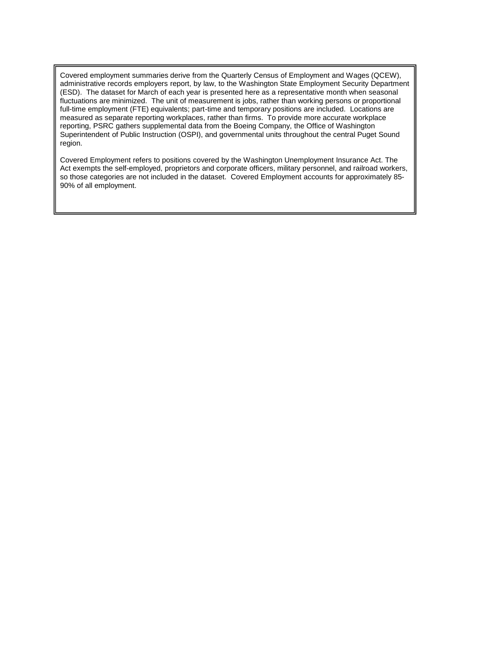Covered employment summaries derive from the Quarterly Census of Employment and Wages (QCEW), administrative records employers report, by law, to the Washington State Employment Security Department (ESD). The dataset for March of each year is presented here as a representative month when seasonal fluctuations are minimized. The unit of measurement is jobs, rather than working persons or proportional full-time employment (FTE) equivalents; part-time and temporary positions are included. Locations are measured as separate reporting workplaces, rather than firms. To provide more accurate workplace reporting, PSRC gathers supplemental data from the Boeing Company, the Office of Washington Superintendent of Public Instruction (OSPI), and governmental units throughout the central Puget Sound region.

Covered Employment refers to positions covered by the Washington Unemployment Insurance Act. The Act exempts the self-employed, proprietors and corporate officers, military personnel, and railroad workers, so those categories are not included in the dataset. Covered Employment accounts for approximately 85- 90% of all employment.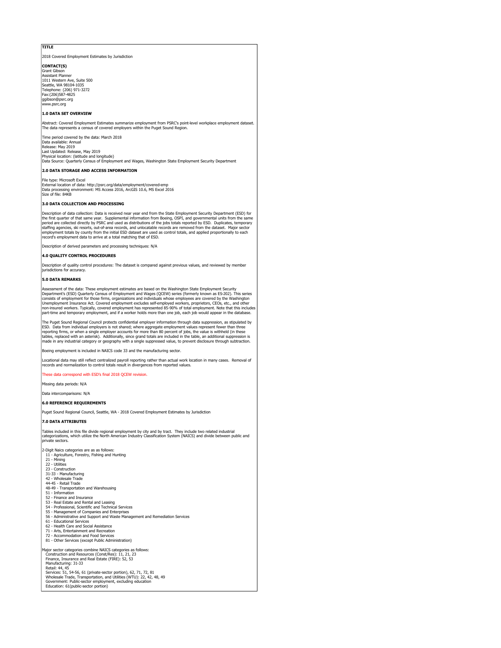### **TITLE**

2018 Covered Employment Estimates by Jurisdiction

**CONTACT(S)** Grant Gibs nt Gibson<br>istant Planner 1011 Western Ave, Suite 500 Seattle, WA 98104-1035 Telephone: (206) 971-3272 Fax:(206)587-4825 ggibson@psrc.org www.psrc.org

#### **1.0 DATA SET OVERVIEW**

Abstract: Covered Employment Estimates summarize employment from PSRC's point-level workplace employment dataset.<br>The data represents a census of covered employers within the Puget Sound Region.

Time period covered by the data: March 2018 Data available: Annual<br>Release: May 2019 Release: 7 am Last Updated: Release, May 2019 Physical location: (latitude and longitude)

Data Source: Quarterly Census of Employment and Wages, Washington State Employment Security Department

### **2.0 DATA STORAGE AND ACCESS INFORMATION**

File type: Microsoft Excel External location of data: http://psrc.org/data/employment/covered-emp Data processing environment: MS Access 2016, ArcGIS 10.6, MS Excel 2016 Size of file: 84KB

#### **3.0 DATA COLLECTION AND PROCESSING**

Description of data collection: Data is received near year end from the State Employment Security Department (ESD) for<br>the first quarter of that same year. Supplemental information from Boeing, OSPI, and governmental units employment totals by county from the initial ESD dataset are used as control totals, and applied proportionally to each record's employment data to arrive at a total matching that of ESD.

of derived parameters and processing techniques

### **4.0 QUALITY CONTROL PROCEDURES**

Description of quality control procedures: The dataset is compared against previous values, and reviewed by member jurisdictions for accuracy.

#### **5.0 DATA REMARKS**

Assessment of the data: These employment estimates are based on the Washington State Employment Security<br>Department's (ESD) Quarterly Census of Employment and Wages (QCEW) series (formerly known as ES-202). This series<br>con Unemployment Insurance Act. Covered employment excludes self-employed workers, proprietors, CEOs, etc., and other<br>non-insured workers. Typically, covered employment has represented 85-90% of total employment. Note that thi part-time and temporary employment, and if a worker holds more than one job, each job would appear in the database.

The Puget Sound Regional Council protects confidential employer information through data suppression, as stipulated by<br>ESD. Data from individual employers is not shared; where aggregate employment values represent fewer t tables, replaced with an asterisk). Additionally, since grand totals are included in the table, an additional suppression is<br>made in any industrial category or geography with a single suppressed value, to prevent disclosu

Boeing employment is included in NAICS code 33 and the manufacturing sector.

Locational data may still reflect centralized payroll reporting rather than actual work location in many cases. Removal of records and normalization to control totals result in divergences from reported values.

#### hese data correspond with ESD's final 2018 QCEW revision.

Missing data periods: N/A

Data intercomparisons: N/A

#### **6.0 REFERENCE REQUIREMENTS**

Puget Sound Regional Council, Seattle, WA - 2018 Covered Employment Estimates by Jurisdiction

#### **7.0 DATA ATTRIBUTES**

Tables included in this file divide regional employment by city and by tract. They include two related industrial<br>categorizations, which utilize the North American Industry Classification System (NAICS) and divide between ategorizations,<br>rivate sectors.

2-Digit Naics categories are as as follows:

- 11 Agriculture, Forestry, Fishing and Hunting 21 Mining 22 Utilities
- 
- 23 Construction
- 31-33 Manufacturing
- 42 Wholesale Trade 44-45 Retail Trade
- 48-49 Transportation and Warehousing
- 51 Information
- 
- 52 Finance and Insurance 53 Real Estate and Rental and Leasing
- 
- 54 Professional, Scientific and Technical Services 55 Management of Companies and Enterprises 56 Administrative and Support and Waste Management and Remediation Services
- 61 Educational Services
- 62 Health Care and Social Assistance
- 
- 
- 71 Arts, Entertainment and Recreation 72 Accommodation and Food Services 81 Other Services (except Public Administration)

Major sector categories combine NAICS categories as follows: Construction and Resources (Const/Res): 11, 21, 23 Finance, Insurance and Real Estate (FIRE): 52, 53 Manufacturing: 31-33 Retail: 44, 45<br>Services: 51, 54-56, 61 (private-sector portion), 62, 71, 72, 81<br>Wholesale Trade, Transportation, and Utilities (WTU): 22, 42, 48, 49<br>Government: Public-sector employment, excluding education Education: 61(public-sector portion)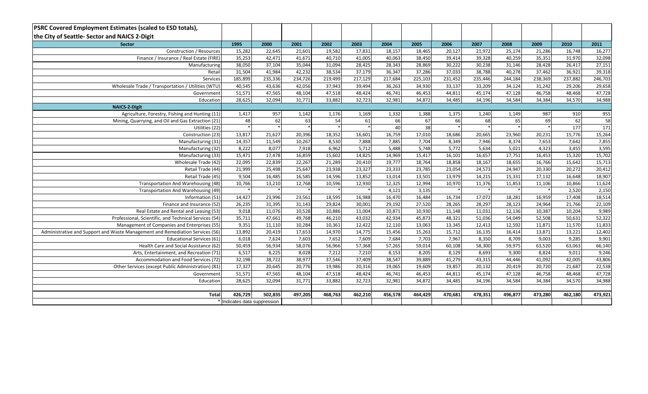| <b>PSRC Covered Employment Estimates (scaled to ESD totals),</b>              |         |                              |         |         |         |         |         |         |         |         |         |         |                   |
|-------------------------------------------------------------------------------|---------|------------------------------|---------|---------|---------|---------|---------|---------|---------|---------|---------|---------|-------------------|
| the City of Seattle- Sector and NAICS 2-Digit                                 |         |                              |         |         |         |         |         |         |         |         |         |         |                   |
| <b>Sector</b>                                                                 | 1995    | 2000                         | 2001    | 2002    | 2003    | 2004    | 2005    | 2006    | 2007    | 2008    | 2009    | 2010    | 2011              |
| Construction / Resources                                                      | 15,282  | 22,645                       | 21,601  | 19,582  | 17,831  | 18,157  | 18,465  | 20,127  | 21,972  | 25,174  | 21,286  | 16,748  | 16,277            |
| Finance / Insurance / Real Estate (FIRE)                                      | 35,253  | 42,471                       | 41,671  | 40,710  | 41,005  | 40,063  | 38,450  | 39,414  | 39,328  | 40,259  | 35,351  | 31,970  | 32,098            |
| Manufacturing                                                                 | 38,050  | 37,104                       | 35,044  | 31,094  | 28,425  | 28,343  | 28,869  | 30,222  | 30,238  | 31,146  | 28,428  | 26,417  | 27,151            |
| Retail                                                                        | 31,504  | 41,984                       | 42,232  | 38,534  | 37,179  | 36,347  | 37,286  | 37,033  | 38,788  | 40,278  | 37,462  | 36,921  | 39,318            |
| Services                                                                      | 185,899 | 235,336                      | 234,726 | 219,499 | 217,129 | 217,684 | 225,103 | 231,452 | 235,446 | 244,184 | 238,369 | 237,882 | 246,703           |
| Wholesale Trade / Transportation / Utilities (WTU)                            | 40,545  | 43,636                       | 42,056  | 37,943  | 39,494  | 36,263  | 34,930  | 33,137  | 33,209  | 34,124  | 31,242  | 29,206  | 29,658            |
| Government                                                                    | 51,571  | 47,565                       | 48,104  | 47,518  | 48,424  | 46,741  | 46,453  | 44,811  | 45,174  | 47,128  | 46,758  | 48,468  | 47,728            |
| Education                                                                     | 28,625  | 32,094                       | 31,771  | 33,882  | 32,723  | 32,981  | 34,872  | 34,485  | 34,196  | 34,584  | 34,384  | 34,570  | 34,988            |
| <b>NAICS-2-Digit</b>                                                          |         |                              |         |         |         |         |         |         |         |         |         |         |                   |
| Agriculture, Forestry, Fishing and Hunting (11)                               | 1,417   | 957                          | 1,142   | 1,176   | 1,169   | 1,332   | 1,388   | 1,375   | 1,240   | 1,149   | 987     | 910     | 955               |
| Mining, Quarrying, and Oil and Gas Extraction (21)                            | 48      | 62                           | 63      | 54      | 61      | 66      | 67      | 66      | 68      | 65      | 69      | 62      | $\overline{58}$   |
| Utilities (22)                                                                |         |                              |         |         |         | 40      | 38      |         |         |         |         | 177     | 171               |
| Construction (23)                                                             | 13,817  | 21,627                       | 20,396  | 18,352  | 16,601  | 16,759  | 17,010  | 18,686  | 20,665  | 23,960  | 20,231  | 15,776  | 15,264            |
| Manufacturing (31)                                                            | 14,357  | 11,549                       | 10,267  | 8,530   | 7,888   | 7,885   | 7,704   | 8,349   | 7,946   | 8,374   | 7,653   | 7,642   | 7,855             |
| Manufacturing (32)                                                            | 8,222   | 8,077                        | 7,918   | 6,962   | 5,712   | 5,488   | 5,748   | 5,772   | 5,634   | 5,021   | 4,323   | 3,455   | $\frac{1}{3,595}$ |
| Manufacturing (33)                                                            | 15,471  | 17,478                       | 16,859  | 15,602  | 14,825  | 14,969  | 15,417  | 16,101  | 16,657  | 17,751  | 16,453  | 15,320  | 15,702            |
| Wholesale Trade (42)                                                          | 22,095  | 22,839                       | 22,267  | 21,289  | 20,410  | 19,777  | 18,764  | 18,858  | 18,167  | 18,655  | 16,766  | 15,642  | 15,713            |
| Retail Trade (44)                                                             | 21,999  | 25,498                       | 25,647  | 23,938  | 23,327  | 23,333  | 23,785  | 23,054  | 24,573  | 24,947  | 20,330  | 20,272  | 20,412            |
| Retail Trade (45)                                                             | 9,504   | 16,485                       | 16,585  | 14,596  | 13,852  | 13,014  | 13,501  | 13,979  | 14,215  | 15,331  | 17,132  | 16,648  | 18,907            |
| Transportation And Warehousing (48)                                           | 10,766  | 13,210                       | 12,768  | 10,596  | 12,930  | 12,325  | 12,994  | 10,970  | 11,376  | 11,853  | 11,106  | 10,866  | 11,624            |
| Transportation And Warehousing (49)                                           |         |                              |         |         |         | 4,121   | 3,135   |         |         |         |         | 2,520   | 2,150             |
| Information (51)                                                              | 14,427  | 23,996                       | 23,561  | 18,595  | 16,988  | 16,470  | 16,484  | 16,734  | 17,072  | 18,281  | 16,959  | 17,408  | 18,514            |
| Finance and Insurance (52)                                                    | 26,235  | 31,395                       | 31,143  | 29,824  | 30,001  | 29,192  | 27,520  | 28,265  | 28,297  | 28,123  | 24,964  | 21,766  | 22,109            |
| Real Estate and Rental and Leasing (53)                                       | 9,018   | 11,076                       | 10,528  | 10,886  | 11,004  | 10,871  | 10,930  | 11,148  | 11,031  | 12,136  | 10,387  | 10,204  | 9,989             |
| Professional, Scientific, and Technical Services (54)                         | 35,711  | 47,661                       | 49,768  | 46,210  | 43,032  | 42,934  | 45,873  | 48,321  | 51,036  | 54,049  | 52,508  | 50,631  | 52,322            |
| Management of Companies and Enterprises (55)                                  | 9,351   | 11,110                       | 10,284  | 10,361  | 12,422  | 12,110  | 13,063  | 13,345  | 12,413  | 12,592  | 11,871  | 11,570  | 11,833            |
| Administrative and Support and Waste Management and Remediation Services (56) | 13,892  | 20,419                       | 17,653  | 14,970  | 14,775  | 15,456  | 15,263  | 15,712  | 16,135  | 16,414  | 13,871  | 13,221  | 12,402            |
| <b>Educational Services (61)</b>                                              | 6,018   | 7,624                        | 7,603   | 7,652   | 7,609   | 7,684   | 7,703   | 7,967   | 8,350   | 8,709   | 9,003   | 9,285   | 9,901             |
| Health Care and Social Assistance (62)                                        | 50,459  | 56,934                       | 58,076  | 56,966  | 57,368  | 57,265  | 59,014  | 60,108  | 58,300  | 59,975  | 63,520  | 63,063  | 66,140            |
| Arts, Entertainment, and Recreation (71)                                      | 6,517   | 8,225                        | 8,028   | 7,212   | 7,210   | 8,153   | 8,205   | 8,129   | 8,693   | 9,300   | 8,824   | 9,011   | 9,246             |
| Accommodation and Food Services (72)                                          | 32,198  | 38,722                       | 38,977  | 37,546  | 37,409  | 38,547  | 39,889  | 41,279  | 43,315  | 44.446  | 41,092  | 42,005  | 43,806            |
| Other Services (except Public Administration) (81)                            | 17,327  | 20,645                       | 20,776  | 19,986  | 20,316  | 19,065  | 19,609  | 19,857  | 20,132  | 20,419  | 20,720  | 21,687  | 22,538            |
| Government                                                                    | 51,571  | 47,565                       | 48,104  | 47,518  | 48,424  | 46,741  | 46,453  | 44,811  | 45,174  | 47,128  | 46,758  | 48,468  | 47,728            |
| 28,625<br>Education                                                           |         |                              | 31,771  | 33,882  | 32,723  | 32,981  | 34,872  | 34,485  | 34,196  | 34,584  | 34,384  | 34,570  | 34,988            |
|                                                                               |         |                              |         |         |         |         |         |         |         |         |         |         |                   |
| Total                                                                         | 502,835 | 497,205                      | 468,763 | 462,210 | 456,578 | 464,429 | 470,681 | 478,351 | 496,877 | 473,280 | 462,180 | 473,921 |                   |
|                                                                               |         | * Indicates data suppression |         |         |         |         |         |         |         |         |         |         |                   |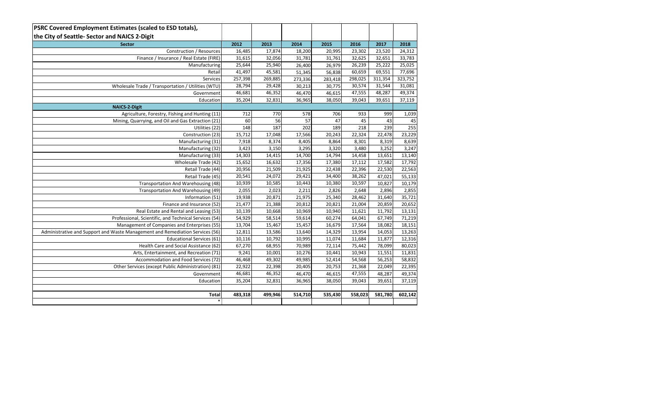| <b>PSRC Covered Employment Estimates (scaled to ESD totals),</b>              |         |         |         |         |         |         |         |
|-------------------------------------------------------------------------------|---------|---------|---------|---------|---------|---------|---------|
| the City of Seattle- Sector and NAICS 2-Digit                                 |         |         |         |         |         |         |         |
| <b>Sector</b>                                                                 | 2012    | 2013    | 2014    | 2015    | 2016    | 2017    | 2018    |
| Construction / Resources                                                      | 16,485  | 17,874  | 18,200  | 20,995  | 23,302  | 23,520  | 24,312  |
| Finance / Insurance / Real Estate (FIRE)                                      | 31,615  | 32,056  | 31,781  | 31,761  | 32,625  | 32,651  | 33,783  |
| Manufacturing                                                                 | 25,644  | 25,940  | 26,400  | 26,979  | 26,239  | 25,222  | 25,025  |
| Retail                                                                        | 41,497  | 45,581  | 51,345  | 56,838  | 60,659  | 69,551  | 77,696  |
| Services                                                                      | 257,398 | 269,885 | 273,336 | 283,418 | 298,025 | 311,354 | 323,752 |
| Wholesale Trade / Transportation / Utilities (WTU)                            | 28,794  | 29,428  | 30,213  | 30,775  | 30,574  | 31,544  | 31,081  |
| Government                                                                    | 46,681  | 46,352  | 46,470  | 46,615  | 47,555  | 48,287  | 49,374  |
| Education                                                                     | 35,204  | 32,831  | 36,965  | 38,050  | 39,043  | 39,651  | 37,119  |
| <b>NAICS-2-Digit</b>                                                          |         |         |         |         |         |         |         |
| Agriculture, Forestry, Fishing and Hunting (11)                               | 712     | 770     | 578     | 706     | 933     | 999     | 1,039   |
| Mining, Quarrying, and Oil and Gas Extraction (21)                            | 60      | 56      | 57      | 47      | 45      | 43      | 45      |
| Utilities (22)                                                                | 148     | 187     | 202     | 189     | 218     | 239     | 255     |
| Construction (23)                                                             | 15,712  | 17,048  | 17,566  | 20,243  | 22,324  | 22,478  | 23,229  |
| Manufacturing (31)                                                            | 7,918   | 8,374   | 8,405   | 8,864   | 8,301   | 8,319   | 8,639   |
| Manufacturing (32)                                                            | 3,423   | 3,150   | 3,295   | 3,320   | 3,480   | 3,252   | 3,247   |
| Manufacturing (33)                                                            | 14,303  | 14,415  | 14,700  | 14,794  | 14,458  | 13,651  | 13,140  |
| Wholesale Trade (42)                                                          | 15,652  | 16,632  | 17,356  | 17,380  | 17,112  | 17,582  | 17,792  |
| Retail Trade (44)                                                             | 20,956  | 21,509  | 21,925  | 22,438  | 22,396  | 22,530  | 22,563  |
| Retail Trade (45)                                                             | 20,541  | 24,072  | 29,421  | 34,400  | 38,262  | 47,021  | 55,133  |
| Transportation And Warehousing (48)                                           | 10,939  | 10,585  | 10,443  | 10,380  | 10,597  | 10,827  | 10,179  |
| Transportation And Warehousing (49)                                           | 2,055   | 2,023   | 2,211   | 2,826   | 2,648   | 2,896   | 2,855   |
| Information (51)                                                              | 19,938  | 20,871  | 21,975  | 25,340  | 28,462  | 31,640  | 35,721  |
| Finance and Insurance (52)                                                    | 21,477  | 21,388  | 20,812  | 20,821  | 21,004  | 20,859  | 20,652  |
| Real Estate and Rental and Leasing (53)                                       | 10,139  | 10,668  | 10,969  | 10,940  | 11,621  | 11,792  | 13,131  |
| Professional, Scientific, and Technical Services (54)                         | 54,929  | 58,514  | 59,614  | 60,274  | 64,041  | 67,749  | 71,219  |
| Management of Companies and Enterprises (55)                                  | 13,704  | 15,467  | 15,457  | 16,679  | 17,564  | 18,082  | 18,151  |
| Administrative and Support and Waste Management and Remediation Services (56) | 12,811  | 13,586  | 13,640  | 14,329  | 13,954  | 14,053  | 13,263  |
| <b>Educational Services (61)</b>                                              | 10,116  | 10,792  | 10,995  | 11,074  | 11,684  | 11,877  | 12,316  |
| Health Care and Social Assistance (62)                                        | 67,270  | 68,955  | 70,989  | 72,114  | 75,442  | 78,099  | 80,023  |
| Arts, Entertainment, and Recreation (71)                                      | 9,241   | 10,001  | 10,276  | 10,441  | 10,943  | 11,551  | 11,831  |
| Accommodation and Food Services (72)                                          | 46,468  | 49,302  | 49,985  | 52,414  | 54,568  | 56,253  | 58,832  |
| Other Services (except Public Administration) (81)                            | 22,922  | 22,398  | 20,405  | 20,753  | 21,368  | 22,049  | 22,395  |
| Government                                                                    | 46,681  | 46,352  | 46,470  | 46,615  | 47,555  | 48,287  | 49,374  |
| Education                                                                     | 35,204  | 32,831  | 36,965  | 38,050  | 39,043  | 39,651  | 37,119  |
|                                                                               |         |         |         |         |         |         |         |
| Total                                                                         | 483,318 | 499,946 | 514,710 | 535,430 | 558,023 | 581,780 | 602,142 |
| $\ast$                                                                        |         |         |         |         |         |         |         |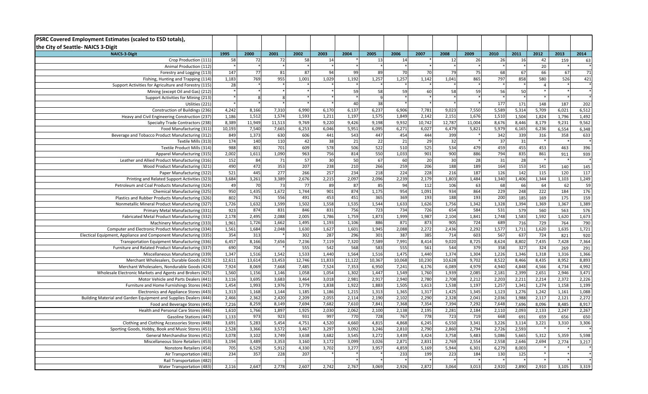| PSRC Covered Employment Estimates (scaled to ESD totals),<br>the City of Seattle- NAICS 3-Digit |                  |        |                    |                 |                 |        |                 |        |        |        |        |       |       |                |       |       |
|-------------------------------------------------------------------------------------------------|------------------|--------|--------------------|-----------------|-----------------|--------|-----------------|--------|--------|--------|--------|-------|-------|----------------|-------|-------|
| <b>NAICS-3-Digit</b>                                                                            | 1995             | 2000   | 2001               | 2002            | 2003            | 2004   | 2005            | 2006   | 2007   | 2008   | 2009   | 2010  | 2011  | 2012           | 2013  | 2014  |
| Crop Production (111)                                                                           | 58               | 72     | 72                 | 58              | 14              |        | 13              | 14     |        | 12     | 26     | 26    | 16    | 42             | 159   | 63    |
| Animal Production (112)                                                                         |                  |        |                    |                 |                 |        |                 |        |        |        |        |       |       | 20             |       |       |
| Forestry and Logging (113)                                                                      | 147              | 77     | 81                 | 87              | 94              | 99     | 89              | 70     | 70     | 79     | 75     | 68    | 67    | 66             | 67    | 71    |
| Fishing, Hunting and Trapping (114)                                                             | 1,183            | 769    | 955                | 1,001           | 1,029           | 1,192  | 1,257           | 1,257  | 1,142  | 1,041  | 865    | 797   | 858   | 580            | 526   | 421   |
| Support Activities for Agriculture and Forestry (115)                                           | 28               |        |                    |                 |                 |        |                 |        |        |        |        |       |       | $\overline{4}$ |       |       |
| Mining (except Oil and Gas) (212)                                                               |                  |        |                    |                 |                 | 59     | 58              | 59     | 60     | 58     | 59     | 56    | 50    | $\ast$         |       |       |
| Support Activities for Mining (213)                                                             |                  |        |                    |                 |                 |        |                 |        |        |        |        |       |       | $\ast$         |       |       |
| Utilities (221)                                                                                 |                  |        |                    |                 |                 | 40     | 38              |        |        |        |        | 177   | 171   | 148            | 187   | 202   |
| Construction of Buildings (236)                                                                 | 4,242            | 8,166  | 7,310              | 6,990           | 6,170           | 6,137  | 6,237           | 6,906  | 7,781  | 9,023  | 7,550  | 5,589 | 5,314 | 5,709          | 6,021 | 6,512 |
| Heavy and Civil Engineering Construction (237)                                                  | 1,186            | 1,512  | 1,574              | 1,593           | 1,211           | 1,197  | 1,575           | 1,849  | 2,142  | 2,151  | 1,676  | 1,510 | 1,504 | 1,824          | 1,796 | 1,492 |
| Specialty Trade Contractors (238)                                                               | 8,389            | 11,949 | 11,513             | 9,769           | 9,220           | 9,426  | 9,198           | 9,932  | 10,742 | 12,787 | 11,004 | 8,676 | 8,446 | 8,179          | 9,231 | 9,562 |
| Food Manufacturing (311)                                                                        | 10,193           | 7,540  | 7,665              | 6,253           | 6,046           | 5,951  | 6,095           | 6,271  | 6,027  | 6,479  | 5,821  | 5,979 | 6,165 | 6,236          | 6,554 | 6,348 |
| Beverage and Tobacco Product Manufacturing (312)                                                | 849              | 1,373  | 630                | 606             | 441             | 543    | 447             | 454    | 444    | 399    |        | 342   | 339   | 316            | 358   | 633   |
| Textile Mills (313)                                                                             | 174              | 140    | 110                | 42              | 38              | 21     | $\overline{22}$ | 21     | 29     | 32     |        | 37    | 31    | $\ast$         |       |       |
| Textile Product Mills (314)                                                                     | 988              | 801    | 701                | 609             | 578             | 506    | 522             | 510    | 525    | 534    | 479    | 459   | 455   | 453            | 463   | 396   |
| Apparel Manufacturing (315)                                                                     | 2,002            | 1,611  | 1,090              | 963             | 756             | 814    | 550             | 1,033  | 901    | 900    | 886    | 794   | 835   | 861            | 911   | 939   |
| Leather and Allied Product Manufacturing (316)                                                  | 152              | 84     | 71                 | $\overline{57}$ | $\overline{30}$ | 50     | 67              | 60     | 20     | 30     | 28     | 31    | 28    | $\;$ $\;$      |       |       |
| Wood Product Manufacturing (321)                                                                | 490              | 472    | $\overline{353}$   | 207             | 238             | 210    | 266             | 259    | 206    | 188    | 189    | 164   | 153   | 141            | 140   | 145   |
| Paper Manufacturing (322)                                                                       | $\overline{521}$ | 445    | 277                | 266             | 257             | 234    | 218             | 224    | 228    | 216    | 187    | 126   | 142   | 115            | 120   | 117   |
| Printing and Related Support Activities (323)                                                   | 3,684            | 3,261  | 3,389              | 2,676           | 2,215           | 2,097  | 2,096           | 2,239  | 2,179  | 1,803  | 1,484  | 1,340 | 1,406 | 1,344          | 1,103 | 1,249 |
| Petroleum and Coal Products Manufacturing (324)                                                 | 49               | 70     | 73                 | 77              | 89              | 87     | 85              | 94     | 112    | 106    | 63     | 68    | 66    | 64             | 62    | 59    |
| Chemical Manufacturing (325)                                                                    | 950              | 1,435  | 1,672              | 1,744           | 901             | 874    | 1,175           | 954    | 1,091  | 934    | 864    | 229   | 248   | 222            | 184   | 176   |
| Plastics and Rubber Products Manufacturing (326)                                                | 802              | 761    | 556                | 491             | 453             | 451    | 365             | 369    | 193    | 188    | 193    | 200   | 185   | 169            | 175   | 159   |
| Nonmetallic Mineral Product Manufacturing (327)                                                 | 1,726            | 1,632  | 1,599              | 1,502           | 1,558           | 1,535  | 1,544           | 1,633  | 1,626  | 1,756  | 1,342  | 1,328 | 1,394 | 1,369          | 1,367 | 1,389 |
| Primary Metal Manufacturing (331)                                                               | 923              | 874    | 831                | 846             | 831             | 756    | 723             | 734    | 726    | 654    | 584    | 531   | 579   | 560            | 563   | 576   |
| Fabricated Metal Product Manufacturing (332)                                                    | 2,178            | 2,495  | 2,088              | 2,005           | 1,786           | 1,759  | 1,873           | 1,999  | 1,987  | 2,104  | 1,841  | 1,748 | 1,583 | 1,592          | 1,620 | 1,673 |
| Machinery Manufacturing (333)                                                                   | 1,961            | 1,726  | 1,662              | 1,495           | 1,193           | 1,106  | 886             | 871    | 873    | 905    | 724    | 689   | 716   | 729            | 764   | 790   |
| Computer and Electronic Product Manufacturing (334)                                             | 1,561            | 1,684  | 2,048              | 1,630           | 1,627           | 1,601  | 1,945           | 2,088  | 2,272  | 2,436  | 2,292  | 1,577 | 1,711 | 1,620          | 1,635 | 1,721 |
| Electical Equipment, Appliance and Component Manufacturing (335)                                | 354              | 313    |                    | 302             | 287             | 296    | 301             | 387    | 385    | 714    | 603    | 567   | 637   | 724            | 821   | 920   |
| Transportation Equipment Manufacturing (336)                                                    | 6,457            | 8,166  | 7,656              | 7,236           | 7,119           | 7,320  | 7,589           | 7,991  | 8,414  | 9,020  | 8,725  | 8,624 | 8,802 | 7,435          | 7,428 | 7,364 |
| Furniture and Related Product Manufacturing (337)                                               | 690              | 704    |                    | 555             | 542             | 568    | 583             | 555    | 561    | 544    | 379    | 358   | 327   | 324            | 269   | 291   |
| Miscellaneous Manufacturing (339)                                                               | 1,347            | 1,516  | $\overline{1,542}$ | 1,533           | 1,440           | 1,564  | 1,516           | 1,475  | 1,440  | 1,374  | 1,304  | 1,226 | 1,346 | 1,318          | 1,316 | 1,366 |
| Merchant Wholesalers, Durable Goods (423)                                                       | 12,611           | 13,614 | 13,453             | 12,746          | 11,833          | 11,122 | 10,367          | 10,068 | 10,230 | 10,628 | 9,702  | 8,522 | 8,466 | 8,435          | 8,952 | 8,893 |
| Merchant Wholesalers, Nondurable Goods (424)                                                    | 7,924            | 8,069  | 7,668              | 7,485           | 7,524           | 7,353  | 6,950           | 7,241  | 6,176  | 6,089  | 4,979  | 4,940 | 4,848 | 4,566          | 4,734 | 4,992 |
| Wholesale Electronic Markets and Agents and Brokers (425)                                       | 1,560            | 1,156  | 1,146              | 1,058           | 1,054           | 1,302  | 1,447           | 1,549  | 1,760  | 1,939  | 2,085  | 2,181 | 2,399 | 2,651          | 2,946 | 3,471 |
| Motor Vehicle and Parts Dealers (441)                                                           | 3,116            | 3,695  | 3,683              | 3,464           | 3,018           | 2,981  | 2,917           | 2,940  | 2,780  | 2,708  | 2,212  | 2,203 | 2,211 | 2,214          | 2,372 | 2,226 |
| Furniture and Home Furnishings Stores (442)                                                     | 1,454            | 1,993  | 1,976              | 1,779           | 1,838           | 1,922  | 1,883           | 1,505  | 1,613  | 1,538  | 1,197  | 1,257 | 1,341 | 1,274          | 1,158 | 1,199 |
| Electronics and Appliance Stores (443)                                                          | 1,313            | 1,168  | 1,144              | 1,185           | 1,186           | 1,215  | 1,313           | 1,365  | 1,317  | 1,425  | 1,345  | 1,123 | 1,276 | 1,242          | 1,161 | 1,088 |
| Building Material and Garden Equipment and Supplies Dealers (444                                | 2,466            | 2,362  | 2,420              | 2,209           | 2,055           | 2,114  | 2,190           | 2,102  | 2,290  | 2,328  | 2,041  | 2,036 | 1,988 | 2,117          | 2,121 | 2,272 |
| Food and Beverage Stores (445)                                                                  | 7,216            | 8,259  | 8,149              | 7,694           | 7,682           | 7,610  | 7,841           | 7,368  | 7,354  | 7,394  | 7,292  | 7,648 | 7,696 | 8,096          | 8,485 | 8,917 |
| Health and Personal Care Stores (446)                                                           | 1,610            | 1,766  | 1,897              | 1,925           | 2,030           | 2,062  | 2,100           | 2,138  | 2,195  | 2,281  | 2,184  | 2,110 | 2,093 | 2,133          | 2,247 | 2,267 |
| Gasoline Stations (447)                                                                         | 1,133            | 973    | 923                | 931             | 997             | 770    | 728             | 767    | 778    | 723    | 719    | 668   | 691   | 659            | 656   | 650   |
| Clothing and Clothing Accessories Stores (448)                                                  | 3,691            | 5,283  | 5,454              | 4,751           | 4,520           | 4,660  | 4,815           | 4,868  | 6,245  | 6,550  | 3,341  | 3,226 | 3,114 | 3,221          | 3,310 | 3,306 |
| Sporting Goods, Hobby, Book and Music Stores (451)                                              | 2,528            | 3,366  | 3,572              | 3,467           | 3,297           | 3,092  | 3,246           | 2,810  | 2,790  | 2,860  | 2,794  | 2,726 | 2,593 |                |       |       |
| General Merchandise Stores (452)                                                                | 3,078            | 3,102  | 3,749              | 3,638           | 3,682           | 3,545  | 3,272           | 3,439  | 3,424  | 3,758  | 5,483  | 5,086 | 5,665 | 5,312          | 5,359 | 5,598 |
| Miscellaneous Store Retailers (453)                                                             | 3,194            | 3,489  | 3,353              | 3,160           | 3,172           | 3,099  | 3,026           | 2,871  | 2,831  | 2,769  | 2,554  | 2,558 | 2,646 | 2,694          | 2,774 | 3,217 |
| Nonstore Retailers (454)                                                                        | 705              | 6,529  | 5,912              | 4,330           | 3,702           | 3,277  | 3,957           | 4,859  | 5,169  | 5,944  | 6,301  | 6,279 | 8,003 |                |       |       |
| Air Transportation (481)                                                                        | 234              | 357    | 228                | 207             |                 |        |                 | 233    | 199    | 223    | 184    | 130   | 125   | $\ast$         |       |       |
| Rail Transportation (482)                                                                       |                  |        |                    |                 |                 |        |                 |        |        |        |        |       |       | $\ast$         |       |       |
| Water Transportation (483)                                                                      | 2,116            | 2,647  | 2,778              | 2,607           | 2,742           | 2,767  | 3,069           | 2,926  | 2,872  | 3,064  | 3,013  | 2,920 | 2,890 | 2,910          | 3,105 | 3,319 |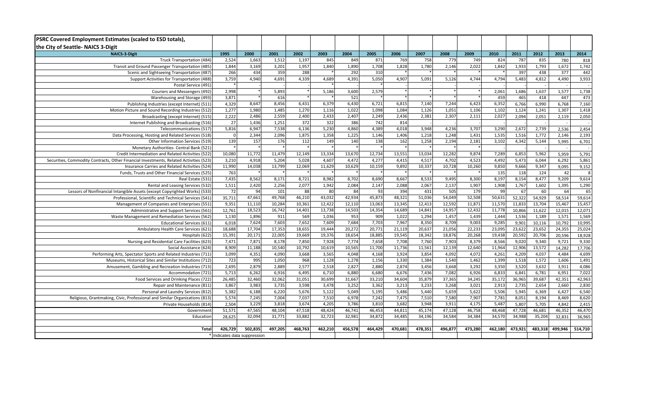| <b>PSRC Covered Employment Estimates (scaled to ESD totals),</b>                       |                              |                  |                  |                  |                  |                 |                  |                  |                 |                  |                  |                 |                  |                 |                  |                  |
|----------------------------------------------------------------------------------------|------------------------------|------------------|------------------|------------------|------------------|-----------------|------------------|------------------|-----------------|------------------|------------------|-----------------|------------------|-----------------|------------------|------------------|
| the City of Seattle-NAICS 3-Digit                                                      |                              |                  |                  |                  |                  |                 |                  |                  |                 |                  |                  |                 |                  |                 |                  |                  |
| <b>NAICS-3-Digit</b>                                                                   | 1995                         | 2000             | 2001             | 2002             | 2003             | 2004            | 2005             | 2006             | 2007            | 2008             | 2009             | 2010            | 2011             | 2012            | 2013             | 2014             |
| Truck Transportation (484)                                                             | 2,524                        | 1,663            | 1,512            | 1,197            | 845              | 849             | 871              | 769              | 758             | 77 <sup>g</sup>  | 749              | 824             | 787              | 835             | 780              | 818              |
| Transit and Ground Passenger Transportation (485)                                      | 1,844                        | 3,169            | 3,201            | 1,957            | 1,840            | 1,890           | 1,708            | 1,828            | 1,780           | 2,146            | 2,022            | 1,842           | 1,933            | 1,793           | 1,672            | 1,742            |
| Scenic and Sightseeing Transportation (487)                                            | 266                          | 434              | 359              | 288              |                  | 292             | 310              |                  |                 |                  |                  |                 | 397              | 438             | $\overline{377}$ | 442              |
| Support Activities for Transportation (488)                                            | 3,759                        | 4,940            | 4,691            | 4,339            | 4,689            | 4,391           | 5,050            | 4,907            | 5,091           | 5,126            | 4,744            | 4,794           | 5,483            | 4,812           | 4,490            | 3,933            |
| Postal Service (491)                                                                   |                              |                  |                  |                  |                  |                 |                  |                  |                 |                  |                  |                 |                  |                 |                  |                  |
| Couriers and Messengers (492)                                                          | 2,998                        |                  | 5,893            |                  | 5,186            | 3,600           | 2,579            |                  |                 |                  |                  | 2,061           | 1,686            | 1,637           | 1,577            | 1,738            |
| Warehousing and Storage (493)                                                          | 3,871                        |                  | 616              |                  |                  | 521             |                  |                  |                 |                  |                  | 459             | 465              | 418             | 447              | 473              |
| Publishing Industries (except Internet) (511)                                          | 4,329                        | 8,647            | 8,456            | 6,431            | 6,379            | 6,430           | 6,721            | 6,815            | 7,140           | 7,244            | 6,423            | 6,352           | 6,766            | 6,990           | 6,768            | 7,160            |
| Motion Picture and Sound Recording Industries (512)                                    | 1,277                        | 1,980            | 1,485            | 1,270            | 1,116            | 1,022           | 1,098            | 1,084            | 1,126           | 1,051            | 1,106            | 1,102           | 1,124            | 1,241           | 1,307            | 1,418            |
| Broadcasting (except Internet) (515)                                                   | 2,222                        | 2,486            | 2,559            | 2,400            | 2,433            | 2,407           | 2,249            | 2,436            | 2,381           | 2,307            | 2,111            | 2,027           | 2,094            | 2,051           | 2,119            | 2,050            |
| Internet Publishing and Broadcasting (516)                                             | 27                           | 1,436            | 1,251            | 372              | 322              | 386             | 742              | 814              |                 |                  |                  |                 |                  |                 |                  |                  |
| Telecommunications (517)                                                               | 5,816                        | 6,947            | 7,538            | 6,136            | 5,230            | 4,860           | 4,389            | 4,018            | 3,948           | 4,236            | 3,707            | 3,290           | 2,672            | 2,739           | 2,536            | 2,454            |
| Data Processing, Hosting and Related Services (518)                                    |                              | 2,344            | 2,096            | 1,875            | 1,358            | 1,225           | 1,146            | 1,406            | 1,218           | 1,248            | 1,431            | 1,535           | 1,516            | 1,772           | 2,146            | 2,193            |
| Other Information Services (519)                                                       | 139                          | 157              | 176              | 112              | 149              | 140             | 138              | 162              | 1,258           | 2,194            | 2,181            | 3,102           | 4,342            | 5,144           | 5,995            | 6,701            |
| Monetary Authorities- Central Bank (521)                                               |                              |                  |                  |                  |                  |                 |                  |                  |                 |                  |                  |                 |                  |                 |                  |                  |
| Credit Intermediation and Related Activities (522)                                     | 10,080                       | 11,772           | 11,479           | 12,149           | 13,334           | 13,670          | 12,734           | 13,551           | 13,034          | 12,282           | 9,874            | 7,289           | 6,853            | 5,962           | 5,959            | 5,791            |
| Securities, Commodity Contracts, Other Financial Investments, Related Activities (523) | 3,210                        | 4,918            | 5,204            | 5,028            | 4,607            | 4,472           | 4,277            | 4,415            | 4,517           | 4,702            | 4,523            | 4,492           | 5,473            | 6,044           | 6,292            | 5,861            |
| Insurance Carries and Related Activities (524)                                         | 11,990                       | 14,038           | 13,799           | 12,069           | 11,629           | 10,629          | 10,159           | 9,892            | 10,337          | 10,728           | 10,260           | 9,850           | 9,666            | 9,347           | 9,095            | 9,152            |
| Funds, Trusts and Other Financial Services (525)                                       | 763                          |                  |                  |                  |                  |                 |                  |                  |                 |                  |                  | 135             | 118              | 124             | 42               | 8                |
| Real Estate (531)                                                                      | 7,435                        | 8,562            | 8,171            | 8,721            | 8,982            | 8,702           | 8,690            | 8,667            | 8,533           | 9,495            | 8,300            | 8,197           | 8,154            | 8,477           | 9,209            | 9,614            |
| Rental and Leasing Services (532)                                                      | 1,511                        | 2,420            | 2,256            | 2,077            | 1,942            | 2,084           | 2,147            | 2,088            | 2,067           | 2,137            | 1,907            | 1,908           | 1,767            | 1,602           | 1,395            | 1,290            |
| Lessors of Nonfinancial Intangible Assets (except Copyrighted Works) (533)             | 72                           | 94               | 101              | 88               | 80               | 84              | 93               | 394              | 431             | 505              | 179              | 99              | 67               | 60              | 64               | 65               |
| Professional, Scientific and Technical Services (541)                                  | 35,711                       | 47,661           | 49,768           | 46,210           | 43,032           | 42,934          | 45,873           | 48,321           | 51,036          | 54,049           | 52,508           | 50,631          | 52,322           | 54,929          | 58,514           | 59,614           |
| Management of Companies and Enterprises (551)                                          | 9,351                        | 11,110           | 10,284           | 10,361           | 12,422           | 12,110          | 13,063           | 13,345           | 12,413          | 12,592           | 11,871           | 11,570          | 11,833           | 13,704          | 15,467           | 15,457           |
| Administrative and Support Services (561)                                              | 12,761                       | 18,523           | 16,742           | 14,401           | 13,738           | 14,503          | 14,354           | 14,689           | 14,841          | 14,957           | 12,432           | 11,778          | 10,866           | 11,622          | 12,015           | 12,071           |
| Waste Management and Remediation Services (562)                                        | 1,130                        | 1,896            | 911              | 569              | 1,036            | 953             | 909              | 1,022            | 1,294           | 1,457            | 1,439            | 1,444           | 1,536            | 1,189           | 1,571            | 1,569            |
| <b>Educational Services (611</b>                                                       | 6,018                        | 7,624            | 7,603            | 7,652            | 7,609            | 7,684           | 7,703            | 7,967            | 8,350           | 8,709            | 9,003            | 9,285           | 9,901            | 10,116          | 10,792           | 10,995           |
| Ambulatory Health Care Services (621)                                                  | 18,688                       | 17,704<br>20,171 | 17,353<br>22,005 | 18,655<br>19,669 | 19,444<br>19,376 | 20,272          | 20,771<br>18,885 | 21,119<br>19,545 | 20,637          | 21,056<br>18,876 | 22,233<br>20,268 | 23,095          | 23,622<br>20,592 | 23,652          | 24,355<br>20,596 | 25,024<br>18,928 |
| Hospitals (622)<br>Nursing and Residential Care Facilities (623)                       | 15,391<br>7,471              | 7,871            | 8,178            | 7,850            | 7,928            | 18,654<br>7,774 | 7,658            | 7,708            | 18,342<br>7,760 | 7,903            | 8,379            | 19,438          | 9,020            | 20,706<br>9,340 | 9,721            | 9,330            |
| Social Assistance (624)                                                                | 8,909                        | 11,188           | 10,540           | 10,792           | 10,619           | 10,565          | 11,700           | 11,736           | 11,561          | 12,139           | 12,640           | 8,566<br>11,964 |                  | 13,572          | 14,282           | 17,706           |
| Performing Arts, Spectator Sports and Related Industries (711)                         | 3,099                        | 4,351            | 4,090            | 3,668            | 3,565            | 4,048           | 4,168            | 3,924            | 3,854           | 4,092            | 4,072            | 4,261           | 12,906<br>4,209  | 4,037           | 4,484            | 4,699            |
| Museums, Historical Sites and Similar Institutions (712)                               | 723                          | 995              | 1,050            | 968              | 1,128            | 1,278           | 1,156            | 1,330            | 1,384           | 1,540            | 1,462            | 1,399           | 1,518            | 1,572           | 1,606            | 1,491            |
| Amusement, Gambling and Recreation Industries (713)                                    | 2,695                        | 2,879            | 2,889            | 2,577            | 2,518            | 2,827           | 2,880            | 2,874            | 3,456           | 3,668            | 3,292            | 3,350           | 3,520            | 3,632           | 3,911            | 4,086            |
| Accommodation (721)                                                                    | 5,713                        | 6,262            | 6,916            | 6,495            | 6,71             | 6,880           | 6,680            | 6,676            | 7,436           | 7,082            | 6,926            | 6,833           | 6,841            | 6,781           | 6,951            | 7,022            |
| Food Services and Drinking Places (722)                                                | 26,485                       | 32,460           | 32,062           | 31,051           | 30,699           | 31,667          | 33,210           | 34,604           | 35,879          | 37,365           | 34,245           | 35,172          | 36,965           | 39,687          | 42,351           | 42,963           |
| Repair and Maintenance (811)                                                           | 3,867                        | 3,983            | 3,735            | 3,598            | 3,478            | 3,252           | 3,362            | 3,213            | 3,233           | 3,268            | 3,021            | 2,913           | 2,735            | 2,654           | 2,660            | 2,830            |
| Personal and Laundry Services (812)                                                    | 5,382                        | 6,188            | 6,220            | 5,676            | 5,122            | 5,049           | 5,195            | 5,486            | 5,440           | 5,659            | 5,622            | 5,506           | 5,945            | 6,369           | 6,427            | 6,540            |
| Religious, Grantmaking, Civic, Professional and Similar Organizations (813)            | 5,574                        | 7,245            | 7,004            | 7,037            | 7,510            | 6,978           | 7,242            | 7.475            | 7,510           | 7,580            | 7,907            | 7,781           | 8,051            | 8,194           | 8,469            | 8,620            |
| Private Households (814)                                                               | 2,504                        | 3,229            | 3,818            | 3,674            | 4,205            | 3,786           | 3,810            | 3,682            | 3,948           | 3,911            | 4,175            | 5,487           | 5,807            | 5,705           | 4,842            | 2,415            |
| Government                                                                             | 51,571                       | 47,565           | 48,104           | 47,518           | 48,424           | 46,741          | 46,453           | 44,811           | 45,174          | 47,128           | 46,758           | 48,468          | 47,728           | 46,681          | 46,352           | 46,470           |
| Education                                                                              | 28,625                       | 32,094           | 31,771           | 33,882           | 32,723           | 32,981          | 34,872           | 34,485           | 34,196          | 34,584           | 34,384           | 34,570          | 34,988           | 35,204          | 32,831           | 36,965           |
|                                                                                        |                              |                  |                  |                  |                  |                 |                  |                  |                 |                  |                  |                 |                  |                 |                  |                  |
| Total                                                                                  | 426,729                      | 502,835          | 497,205          | 468,763          | 462,210          | 456,578         | 464,429          | 470,681          | 478,351         | 496,877          | 473,280          | 462,180         | 473,921          | 483,318         | 499,946          | 514,710          |
|                                                                                        | * Indicates data suppression |                  |                  |                  |                  |                 |                  |                  |                 |                  |                  |                 |                  |                 |                  |                  |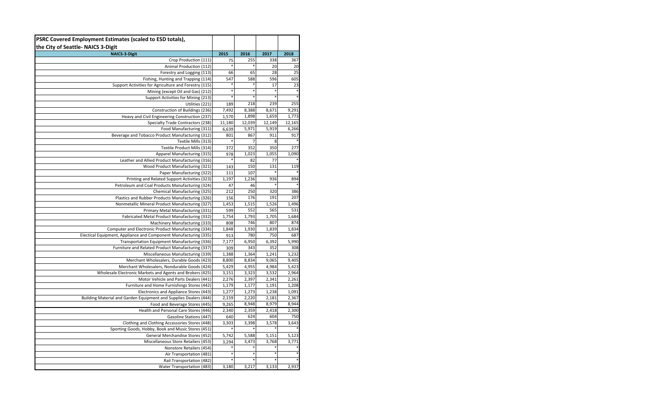| PSRC Covered Employment Estimates (scaled to ESD totals),         |        |        |        |        |
|-------------------------------------------------------------------|--------|--------|--------|--------|
| the City of Seattle-NAICS 3-Digit                                 |        |        |        |        |
| <b>NAICS-3-Digit</b>                                              | 2015   | 2016   | 2017   | 2018   |
| Crop Production (111)                                             | 75     | 255    | 338    | 367    |
| Animal Production (112)                                           |        |        | 20     | 20     |
| Forestry and Logging (113)                                        | 66     | 65     | 28     | 25     |
| Fishing, Hunting and Trapping (114)                               | 547    | 588    | 596    | 605    |
| Support Activities for Agriculture and Forestry (115)             |        |        | 17     | 23     |
| Mining (except Oil and Gas) (212)                                 | $\ast$ | ×      |        |        |
| Support Activities for Mining (213)                               |        |        |        |        |
| Utilities (221)                                                   | 189    | 218    | 239    | 255    |
| Construction of Buildings (236)                                   | 7,492  | 8,388  | 8,671  | 9,291  |
| Heavy and Civil Engineering Construction (237)                    | 1,570  | 1,898  | 1,659  | 1,773  |
| Specialty Trade Contractors (238)                                 | 11,180 | 12,039 | 12,149 | 12,165 |
| Food Manufacturing (311)                                          | 6,639  | 5,971  | 5,919  | 6,266  |
| Beverage and Tobacco Product Manufacturing (312)                  | 801    | 867    | 911    | 917    |
| Textile Mills (313)                                               |        | 7      | 8      |        |
| Textile Product Mills (314)                                       | 372    | 352    | 350    | 277    |
| Apparel Manufacturing (315)                                       | 978    | 1,023  | 1,055  | 1,090  |
| Leather and Allied Product Manufacturing (316)                    |        | 82     | 77     |        |
| Wood Product Manufacturing (321)                                  | 143    | 150    | 131    | 119    |
| Paper Manufacturing (322)                                         | 111    | 107    |        |        |
| Printing and Related Support Activities (323)                     | 1,197  | 1,236  | 936    | 894    |
| Petroleum and Coal Products Manufacturing (324)                   | 47     | 46     |        |        |
| Chemical Manufacturing (325)                                      | 212    | 250    | 320    | 386    |
| Plastics and Rubber Products Manufacturing (326)                  | 156    | 176    | 191    | 207    |
| Nonmetallic Mineral Product Manufacturing (327)                   | 1,453  | 1,515  | 1,526  | 1,496  |
| Primary Metal Manufacturing (331)                                 | 599    | 552    | 565    | 531    |
| Fabricated Metal Product Manufacturing (332)                      | 1,754  | 1,793  | 1,705  | 1,684  |
| Machinery Manufacturing (333)                                     | 808    | 746    | 807    | 874    |
| Computer and Electronic Product Manufacturing (334)               | 1,848  | 1,930  | 1,839  | 1,834  |
| Electical Equipment, Appliance and Component Manufacturing (335)  | 913    | 780    | 750    | 687    |
| Transportation Equipment Manufacturing (336)                      | 7,177  | 6,950  | 6,392  | 5,990  |
| Furniture and Related Product Manufacturing (337)                 | 309    | 343    | 352    | 308    |
| Miscellaneous Manufacturing (339)                                 | 1,388  | 1,364  | 1,241  | 1,232  |
| Merchant Wholesalers, Durable Goods (423)                         | 8,800  | 8,834  | 9,065  | 9,405  |
| Merchant Wholesalers, Nondurable Goods (424)                      | 5,429  | 4,955  | 4,984  | 5,423  |
| Wholesale Electronic Markets and Agents and Brokers (425)         | 3,151  | 3,323  | 3,532  | 2,964  |
| Motor Vehicle and Parts Dealers (441)                             | 2,276  | 2,397  | 2,341  | 2,261  |
| Furniture and Home Furnishings Stores (442)                       | 1,179  | 1,177  | 1,191  | 1,208  |
| Electronics and Appliance Stores (443)                            | 1,277  | 1,273  | 1,238  | 1,091  |
| Building Material and Garden Equipment and Supplies Dealers (444) | 2,159  | 2,220  | 2,181  | 2,367  |
| Food and Beverage Stores (445)                                    | 9,265  | 8,948  | 8,979  | 8,944  |
| Health and Personal Care Stores (446)                             | 2,340  | 2,359  | 2,418  | 2,300  |
| Gasoline Stations (447)                                           | 640    | 624    | 604    | 750    |
| Clothing and Clothing Accessories Stores (448)                    | 3,303  | 3,398  | 3,578  | 3,643  |
| Sporting Goods, Hobby, Book and Music Stores (451)                |        |        |        |        |
| General Merchandise Stores (452)                                  | 5,742  | 5,588  | 5,151  | 5,123  |
| Miscellaneous Store Retailers (453)                               | 3,294  | 3,473  | 3,768  | 3,771  |
| Nonstore Retailers (454)                                          |        |        |        |        |
| Air Transportation (481)                                          |        |        |        |        |
| Rail Transportation (482)                                         |        |        |        |        |
| Water Transportation (483)                                        | 3,180  | 3,217  | 3,133  | 2,937  |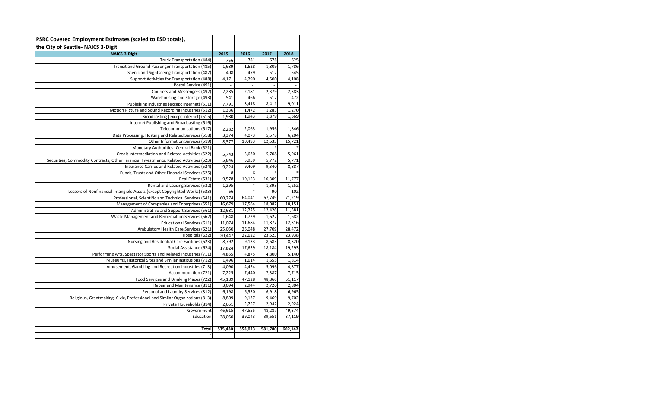| PSRC Covered Employment Estimates (scaled to ESD totals),                                            |                                   |                          |                |                |
|------------------------------------------------------------------------------------------------------|-----------------------------------|--------------------------|----------------|----------------|
| the City of Seattle- NAICS 3-Digit                                                                   |                                   |                          |                |                |
| <b>NAICS-3-Digit</b>                                                                                 | 2015                              | 2016                     | 2017           | 2018           |
| Truck Transportation (484)                                                                           | 756                               | 781                      | 678            | 625            |
| Transit and Ground Passenger Transportation (485)                                                    | 1,689                             | 1,628                    | 1,809          | 1,786          |
| Scenic and Sightseeing Transportation (487)                                                          | 408                               | 479                      | 512            | 545            |
| Support Activities for Transportation (488)                                                          | 4,171                             | 4,290                    | 4,500          | 4,108          |
| Postal Service (491)                                                                                 | $\overline{\phantom{a}}$          | $\overline{\phantom{a}}$ | $\overline{a}$ |                |
| Couriers and Messengers (492)                                                                        | 2,285                             | 2,181                    | 2,379          | 2,383          |
| Warehousing and Storage (493)                                                                        | 541                               | 466                      | 517            | 472            |
| Publishing Industries (except Internet) (511)<br>Motion Picture and Sound Recording Industries (512) | 7,791                             | 8,418                    | 8,411<br>1,283 | 9,011<br>1,270 |
| Broadcasting (except Internet) (515)                                                                 | 1,336                             | 1,472<br>1,943           | 1,879          | 1,669          |
| Internet Publishing and Broadcasting (516)                                                           | 1,980<br>$\overline{\phantom{a}}$ |                          |                |                |
| Telecommunications (517)                                                                             | 2,282                             | 2,063                    | 1,956          | 1,846          |
| Data Processing, Hosting and Related Services (518)                                                  | 3,374                             | 4,073                    | 5,578          | 6,204          |
| Other Information Services (519)                                                                     | 8,577                             | 10,493                   | 12,533         | 15,721         |
| Monetary Authorities- Central Bank (521)                                                             | ÷,                                | $\overline{a}$           |                |                |
| Credit Intermediation and Related Activities (522)                                                   | 5,743                             | 5,630                    | 5,708          | 5,961          |
| Securities, Commodity Contracts, Other Financial Investments, Related Activities (523)               | 5,846                             | 5,959                    | 5,772          | 5,771          |
| Insurance Carries and Related Activities (524)                                                       | 9,224                             | 9,409                    | 9,340          | 8,887          |
| Funds, Trusts and Other Financial Services (525)                                                     | 8                                 | 6                        |                |                |
| Real Estate (531)                                                                                    | 9,578                             | 10,153                   | 10,309         | 11,777         |
| Rental and Leasing Services (532)                                                                    | 1,295                             |                          | 1,393          | 1,252          |
| Lessors of Nonfinancial Intangible Assets (except Copyrighted Works) (533)                           | 66                                | *                        | 90             | 102            |
| Professional, Scientific and Technical Services (541)                                                | 60,274                            | 64,041                   | 67,749         | 71,219         |
| Management of Companies and Enterprises (551)                                                        | 16,679                            | 17,564                   | 18,082         | 18,151         |
| Administrative and Support Services (561)                                                            | 12,681                            | 12,225                   | 12,426         | 11,581         |
| Waste Management and Remediation Services (562)                                                      | 1,648                             | 1,729                    | 1,627          | 1,682          |
| <b>Educational Services (611)</b>                                                                    | 11,074                            | 11,684                   | 11,877         | 12,316         |
| Ambulatory Health Care Services (621)                                                                | 25,050                            | 26,048                   | 27,709         | 28,472         |
| Hospitals (622)                                                                                      | 20,447                            | 22,622                   | 23,523         | 23,938         |
| Nursing and Residential Care Facilities (623)                                                        | 8,792                             | 9,133                    | 8,683          | 8,320          |
| Social Assistance (624)                                                                              | 17,824                            | 17,639                   | 18,184         | 19,293         |
| Performing Arts, Spectator Sports and Related Industries (711)                                       | 4,855                             | 4,875                    | 4,800          | 5,140          |
| Museums, Historical Sites and Similar Institutions (712)                                             | 1,496                             | 1,614                    | 1,655          | 1,814          |
| Amusement, Gambling and Recreation Industries (713)                                                  | 4,090                             | 4,454                    | 5,096          | 4,877          |
| Accommodation (721)                                                                                  | 7,225                             | 7,440                    | 7,387          | 7,715          |
| Food Services and Drinking Places (722)                                                              | 45,189                            | 47,128                   | 48,866         | 51,117         |
| Repair and Maintenance (811)                                                                         | 3,094                             | 2,944                    | 2,720          | 2,804          |
| Personal and Laundry Services (812)                                                                  | 6,198                             | 6,530                    | 6,918          | 6,965          |
| Religious, Grantmaking, Civic, Professional and Similar Organizations (813)                          | 8,809                             | 9,137                    | 9,469          | 9,702          |
| Private Households (814)                                                                             | 2,651                             | 2,757                    | 2,942          | 2,924          |
| Government                                                                                           | 46,615                            | 47,555                   | 48,287         | 49,374         |
| Education                                                                                            | 38,050                            | 39,043                   | 39,651         | 37,119         |
| Total                                                                                                |                                   |                          | 581,780        |                |
| *                                                                                                    | 535,430                           | 558,023                  |                | 602,142        |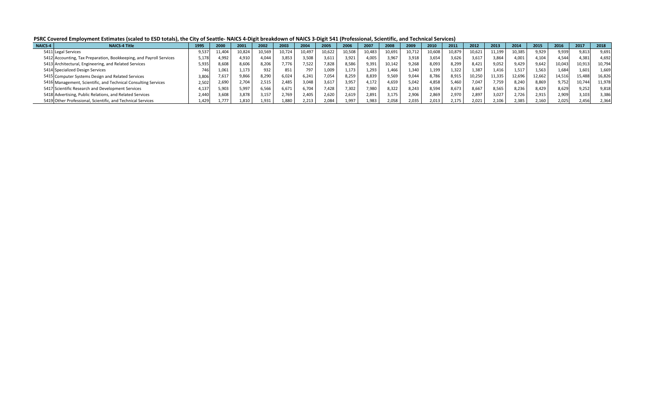**PSRC Covered Employment Estimates (scaled to ESD totals), the City of Seattle- NAICS 4-Digit breakdown of NAICS 3-Digit 541 (Professional, Scientific, and Technical Services)**

| NAICS-4 | <b>NAICS-4 Title</b>                                                | 1995  | 2000   | 2001   | 2002   | 2003   | 200-   |       | 2006   | 2007   | 2008   | 2009   | 2010   | 2011   | 2012   | 2013   | 2014   | 2015   | 2016   | 2017   | 2018   |
|---------|---------------------------------------------------------------------|-------|--------|--------|--------|--------|--------|-------|--------|--------|--------|--------|--------|--------|--------|--------|--------|--------|--------|--------|--------|
|         | 5411 Legal Services                                                 | J.537 | 11,404 | 10,824 | 10,569 | 10,724 | 10,497 | 0,622 | 10,508 | 10,483 | 10,691 | 10,712 | 10,608 | 10,879 | 10,621 | 11,199 | 10,385 | 9,929  | 9,939  | 9,813  | 9,691  |
|         | 5412 Accounting, Tax Preparation, Bookkeeping, and Payroll Services | 5,178 | 4,992  | 4,910  | 044.   | 3,853  | 3,508  | 3,611 | 3,921  | 4,005  | 3,967  | 3.918  | 3,654  | 3,626  | 3,617  | 3,864  | 4,001  | 4,104  | 4.544  | ,381   | 4,692  |
|         | 5413 Architectural, Engineering, and Related Services               | 5,935 | 8.608  | 8.606  | 8,206  | 7.776  | 7,522  | 7,828 | 8,586  | 9,391  | 10,142 | 9,268  | 8,093  | 8,299  | 8.421  | 9,052  | 9,429  | 9.642  | 10,043 | 10,913 | 10,794 |
|         | 5414 Specialized Design Services                                    |       | 1.061  | 1.173  | 932    | 851    | 797    | L,009 | 1.173  | 1.293  | 1.466  | .340   | 1.199  | 1.322  | L.387  | 1.416  | 1.517  | 1.563  | 1,684  | 1.601  | 1.669  |
|         | 5415 Computer Systems Design and Related Services                   | 3.80  | 7.617  | 9,866  | 8,290  | 6.024  | 6,241  | 7,054 | 8,259  | 8,839  | 9,569  | 9.044  | 8.786  | 8,915  | 10,250 | 11,335 | 12,696 | 12,662 | 14,516 | L5,488 | 16,826 |
|         | 5416 Management, Scientific, and Technical Consulting Services      | 2,502 | 2,690  | 2.704  | 2,515  | 2.485  | 3,048  | 3,617 | 3,957  | 4.172  | 4,659  | 5.042  | 4,858  | 5,460  | 7,047  | 7,759  | 8,240  | 8,869  | 9,752  | 10,744 | 11,978 |
|         | 5417 Scientific Research and Development Services                   | .137  | 5.903  | 5.997  | 6,566  | 6,671  | 6,704  | 428,  | 7.302  | 7,980  | 8,322  | 8.243  | 8.594  | 8,673  | 8.667  | 8,565  | 8,236  | 8.429  | 8,629  | 9,252  | 9,818  |
|         | 5418 Advertising, Public Relations, and Related Services            | 4.44C | 3.608  | 3.878  | 3,157  | 2.769  | 2.405  | 2.620 | 2.619  | 2.891  | 3,175  | 2.906  | 2.869  | 2,970  | 2,897  | 3,027  | 2.726  | 2,915  | 2,909  | 3.103  | 3,386  |
|         | 5419 Other Professional, Scientific, and Technical Services         | .429  | 1,777  | 1,810  | 1,931  | 1,880  | 2,213  | 2,084 | 1,997  | 1,983  | 2,058  | 2,035  | 2,013  | 2,175  | 2,021  | 2,106  | 2,385  | 2,160  | 2,025  | 2,456  | 2,364  |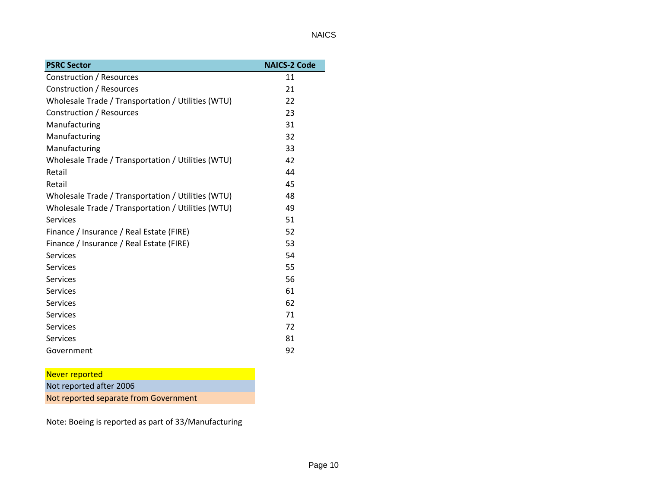| <b>PSRC Sector</b>                                 | <b>NAICS-2 Code</b> |
|----------------------------------------------------|---------------------|
| Construction / Resources                           | 11                  |
| <b>Construction / Resources</b>                    | 21                  |
| Wholesale Trade / Transportation / Utilities (WTU) | 22                  |
| Construction / Resources                           | 23                  |
| Manufacturing                                      | 31                  |
| Manufacturing                                      | 32                  |
| Manufacturing                                      | 33                  |
| Wholesale Trade / Transportation / Utilities (WTU) | 42                  |
| Retail                                             | 44                  |
| Retail                                             | 45                  |
| Wholesale Trade / Transportation / Utilities (WTU) | 48                  |
| Wholesale Trade / Transportation / Utilities (WTU) | 49                  |
| <b>Services</b>                                    | 51                  |
| Finance / Insurance / Real Estate (FIRE)           | 52                  |
| Finance / Insurance / Real Estate (FIRE)           | 53                  |
| <b>Services</b>                                    | 54                  |
| <b>Services</b>                                    | 55                  |
| <b>Services</b>                                    | 56                  |
| <b>Services</b>                                    | 61                  |
| <b>Services</b>                                    | 62                  |
| <b>Services</b>                                    | 71                  |
| <b>Services</b>                                    | 72                  |
| <b>Services</b>                                    | 81                  |
| Government                                         | 92                  |

# Never reported Not reported after 2006 Not reported separate from Government

Note: Boeing is reported as part of 33/Manufacturing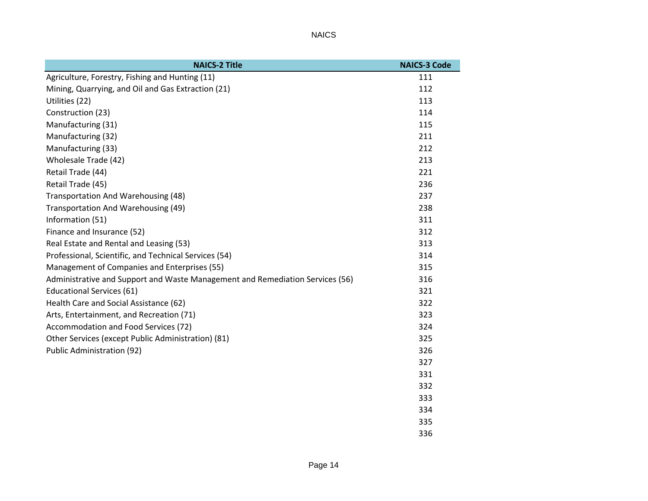| <b>NAICS-2 Title</b>                                                          | <b>NAICS-3 Code</b> |
|-------------------------------------------------------------------------------|---------------------|
| Agriculture, Forestry, Fishing and Hunting (11)                               | 111                 |
| Mining, Quarrying, and Oil and Gas Extraction (21)                            | 112                 |
| Utilities (22)                                                                | 113                 |
| Construction (23)                                                             | 114                 |
| Manufacturing (31)                                                            | 115                 |
| Manufacturing (32)                                                            | 211                 |
| Manufacturing (33)                                                            | 212                 |
| Wholesale Trade (42)                                                          | 213                 |
| Retail Trade (44)                                                             | 221                 |
| Retail Trade (45)                                                             | 236                 |
| Transportation And Warehousing (48)                                           | 237                 |
| Transportation And Warehousing (49)                                           | 238                 |
| Information (51)                                                              | 311                 |
| Finance and Insurance (52)                                                    | 312                 |
| Real Estate and Rental and Leasing (53)                                       | 313                 |
| Professional, Scientific, and Technical Services (54)                         | 314                 |
| Management of Companies and Enterprises (55)                                  | 315                 |
| Administrative and Support and Waste Management and Remediation Services (56) | 316                 |
| <b>Educational Services (61)</b>                                              | 321                 |
| Health Care and Social Assistance (62)                                        | 322                 |
| Arts, Entertainment, and Recreation (71)                                      | 323                 |
| Accommodation and Food Services (72)                                          | 324                 |
| Other Services (except Public Administration) (81)                            | 325                 |
| Public Administration (92)                                                    | 326                 |
|                                                                               | 327                 |
|                                                                               | 331                 |
|                                                                               | 332                 |
|                                                                               | 333                 |
|                                                                               | 334                 |
|                                                                               | 335                 |
|                                                                               | 336                 |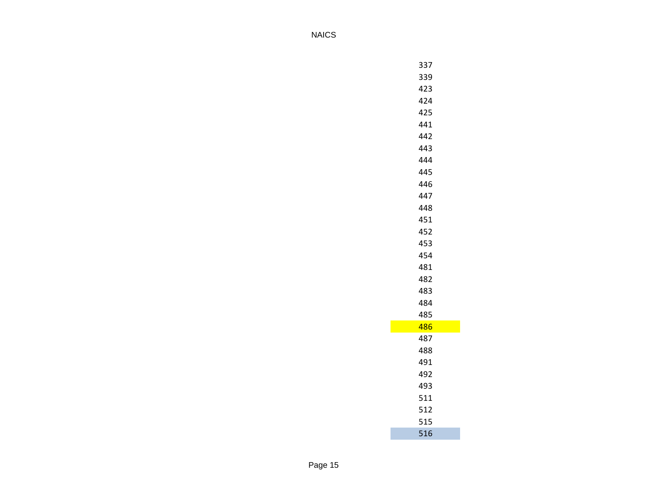| 337 |
|-----|
| 339 |
| 423 |
| 424 |
| 425 |
| 441 |
| 442 |
| 443 |
| 444 |
| 445 |
| 446 |
| 447 |
| 448 |
| 451 |
| 452 |
| 453 |
| 454 |
| 481 |
| 482 |
| 483 |
| 484 |
| 485 |
| 486 |
| 487 |
| 488 |
| 491 |
| 492 |
| 493 |
| 511 |
| 512 |
| 515 |
| 516 |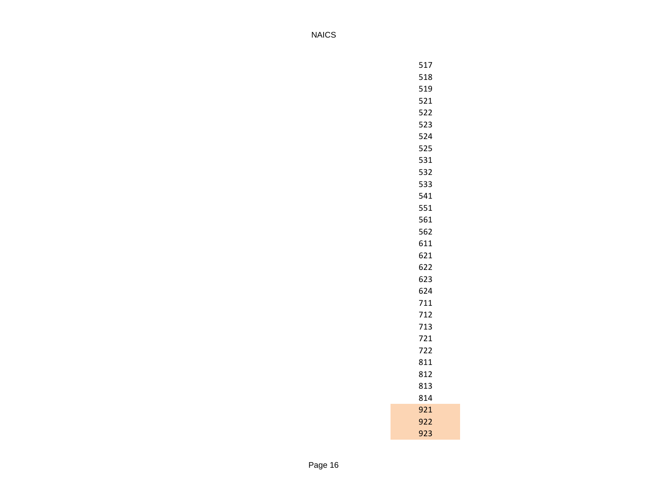| 518<br>519<br>521<br>522<br>523<br>524<br>525<br>531<br>532<br>533<br>541<br>551<br>561<br>562<br>611<br>621<br>622<br>623<br>624<br>711<br>712<br>713<br>721<br>722<br>811<br>812<br>813<br>814<br>921<br>922<br>923 | 517 |
|-----------------------------------------------------------------------------------------------------------------------------------------------------------------------------------------------------------------------|-----|
|                                                                                                                                                                                                                       |     |
|                                                                                                                                                                                                                       |     |
|                                                                                                                                                                                                                       |     |
|                                                                                                                                                                                                                       |     |
|                                                                                                                                                                                                                       |     |
|                                                                                                                                                                                                                       |     |
|                                                                                                                                                                                                                       |     |
|                                                                                                                                                                                                                       |     |
|                                                                                                                                                                                                                       |     |
|                                                                                                                                                                                                                       |     |
|                                                                                                                                                                                                                       |     |
|                                                                                                                                                                                                                       |     |
|                                                                                                                                                                                                                       |     |
|                                                                                                                                                                                                                       |     |
|                                                                                                                                                                                                                       |     |
|                                                                                                                                                                                                                       |     |
|                                                                                                                                                                                                                       |     |
|                                                                                                                                                                                                                       |     |
|                                                                                                                                                                                                                       |     |
|                                                                                                                                                                                                                       |     |
|                                                                                                                                                                                                                       |     |
|                                                                                                                                                                                                                       |     |
|                                                                                                                                                                                                                       |     |
|                                                                                                                                                                                                                       |     |
|                                                                                                                                                                                                                       |     |
|                                                                                                                                                                                                                       |     |
|                                                                                                                                                                                                                       |     |
|                                                                                                                                                                                                                       |     |
|                                                                                                                                                                                                                       |     |
|                                                                                                                                                                                                                       |     |
|                                                                                                                                                                                                                       |     |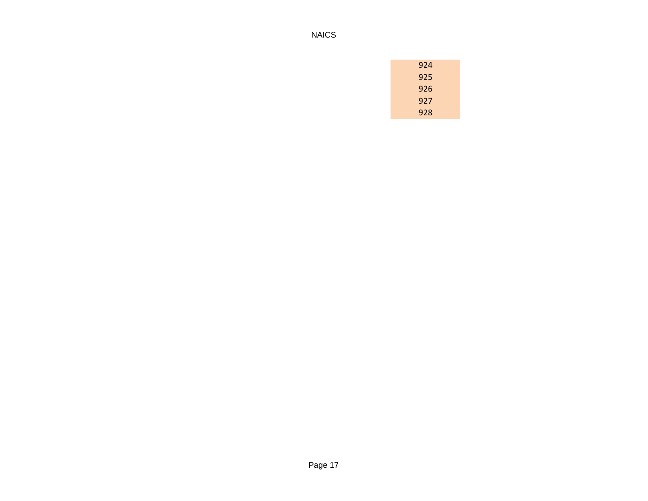| 924 |
|-----|
| 925 |
| 926 |
| 927 |
| 928 |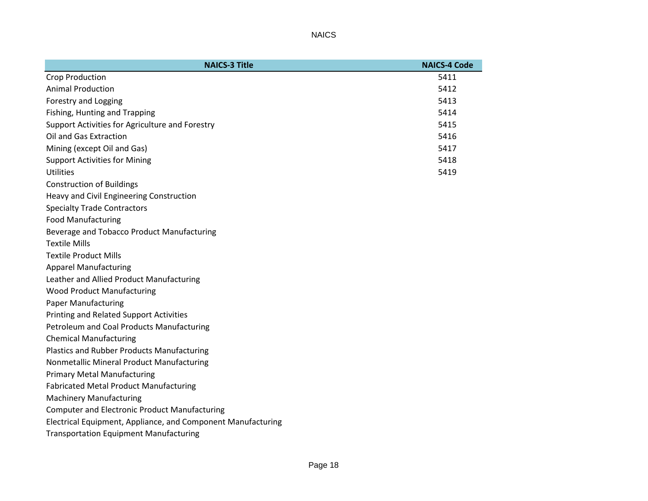| <b>NAICS-3 Title</b>                                         | <b>NAICS-4 Code</b> |
|--------------------------------------------------------------|---------------------|
| Crop Production                                              | 5411                |
| <b>Animal Production</b>                                     | 5412                |
| Forestry and Logging                                         | 5413                |
| Fishing, Hunting and Trapping                                | 5414                |
| Support Activities for Agriculture and Forestry              | 5415                |
| Oil and Gas Extraction                                       | 5416                |
| Mining (except Oil and Gas)                                  | 5417                |
| <b>Support Activities for Mining</b>                         | 5418                |
| Utilities                                                    | 5419                |
| <b>Construction of Buildings</b>                             |                     |
| Heavy and Civil Engineering Construction                     |                     |
| <b>Specialty Trade Contractors</b>                           |                     |
| <b>Food Manufacturing</b>                                    |                     |
| Beverage and Tobacco Product Manufacturing                   |                     |
| <b>Textile Mills</b>                                         |                     |
| <b>Textile Product Mills</b>                                 |                     |
| <b>Apparel Manufacturing</b>                                 |                     |
| Leather and Allied Product Manufacturing                     |                     |
| <b>Wood Product Manufacturing</b>                            |                     |
| <b>Paper Manufacturing</b>                                   |                     |
| <b>Printing and Related Support Activities</b>               |                     |
| Petroleum and Coal Products Manufacturing                    |                     |
| <b>Chemical Manufacturing</b>                                |                     |
| <b>Plastics and Rubber Products Manufacturing</b>            |                     |
| Nonmetallic Mineral Product Manufacturing                    |                     |
| <b>Primary Metal Manufacturing</b>                           |                     |
| <b>Fabricated Metal Product Manufacturing</b>                |                     |
| <b>Machinery Manufacturing</b>                               |                     |
| <b>Computer and Electronic Product Manufacturing</b>         |                     |
| Electrical Equipment, Appliance, and Component Manufacturing |                     |
| <b>Transportation Equipment Manufacturing</b>                |                     |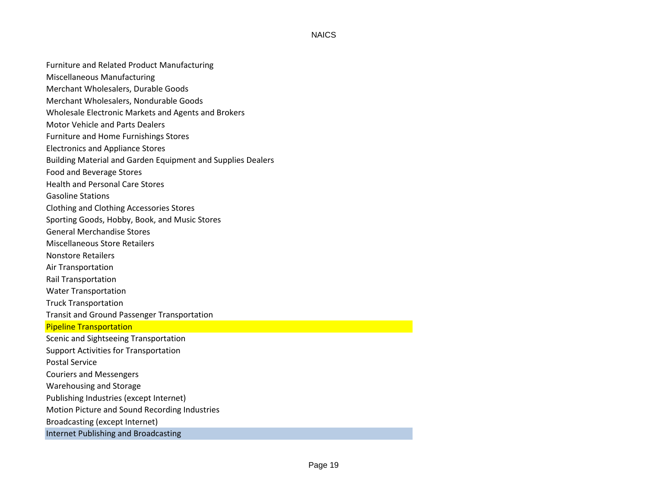Furniture and Related Product Manufacturing

Miscellaneous Manufacturing

- Merchant Wholesalers, Durable Goods
- Merchant Wholesalers, Nondurable Goods
- Wholesale Electronic Markets and Agents and Brokers
- Motor Vehicle and Parts Dealers
- Furniture and Home Furnishings Stores
- Electronics and Appliance Stores
- Building Material and Garden Equipment and Supplies Dealers
- Food and Beverage Stores
- Health and Personal Care Stores
- Gasoline Stations
- Clothing and Clothing Accessories Stores
- Sporting Goods, Hobby, Book, and Music Stores
- General Merchandise Stores
- Miscellaneous Store Retailers
- Nonstore Retailers
- Air Transportation
- Rail Transportation
- Water Transportation
- Truck Transportation
- Transit and Ground Passenger Transportation

## Pipeline Transportation

Scenic and Sightseeing Transportation Support Activities for Transportation Postal Service Couriers and Messengers Warehousing and Storage Publishing Industries (except Internet) Motion Picture and Sound Recording Industries Broadcasting (except Internet)

Internet Publishing and Broadcasting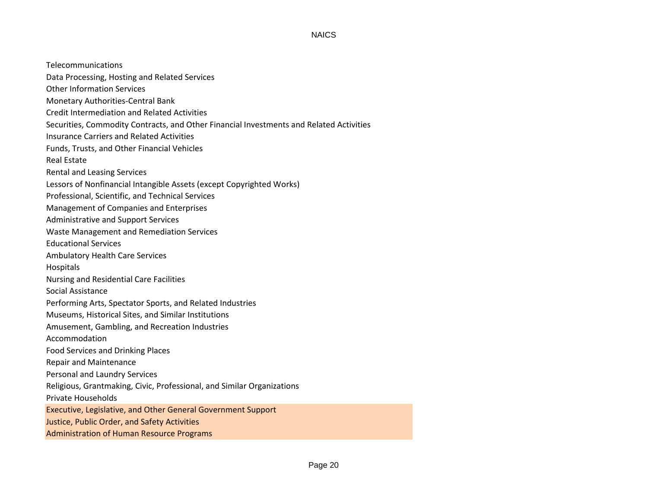Telecommunications Data Processing, Hosting and Related Services Other Information Services Monetary Authorities-Central Bank Credit Intermediation and Related Activities Securities, Commodity Contracts, and Other Financial Investments and Related Activities Insurance Carriers and Related Activities Funds, Trusts, and Other Financial Vehicles Real Estate Rental and Leasing Services Lessors of Nonfinancial Intangible Assets (except Copyrighted Works) Professional, Scientific, and Technical Services Management of Companies and Enterprises Administrative and Support Services Waste Management and Remediation Services Educational Services Ambulatory Health Care Services Hospitals Nursing and Residential Care Facilities Social Assistance Performing Arts, Spectator Sports, and Related Industries Museums, Historical Sites, and Similar Institutions Amusement, Gambling, and Recreation Industries Accommodation Food Services and Drinking Places Repair and Maintenance Personal and Laundry Services Religious, Grantmaking, Civic, Professional, and Similar Organizations Private Households Executive, Legislative, and Other General Government Support Justice, Public Order, and Safety Activities Administration of Human Resource Programs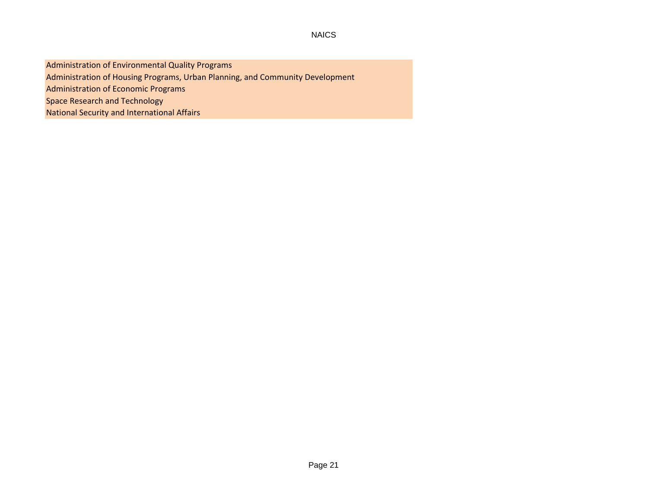Administration of Environmental Quality Programs Administration of Housing Programs, Urban Planning, and Community Development Administration of Economic Programs Space Research and Technology National Security and International Affairs